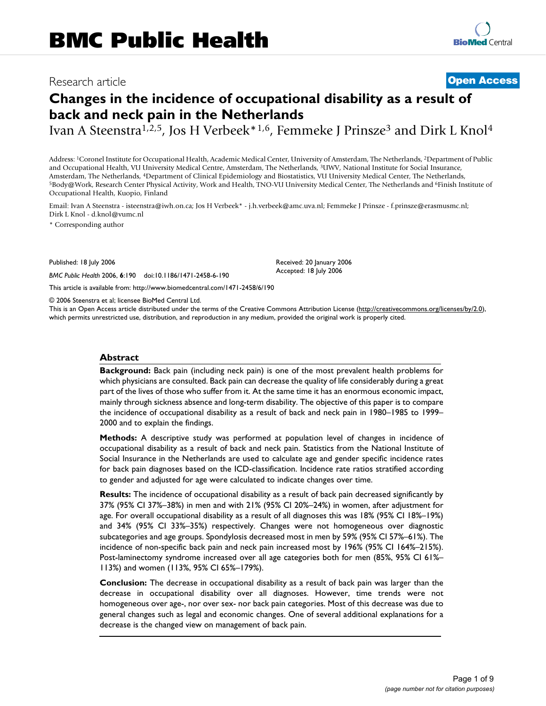## Research article **[Open Access](http://www.biomedcentral.com/info/about/charter/)**

# **Changes in the incidence of occupational disability as a result of back and neck pain in the Netherlands**

Ivan A Steenstra1,2,5, Jos H Verbeek\*1,6, Femmeke J Prinsze3 and Dirk L Knol4

Address: 1Coronel Institute for Occupational Health, Academic Medical Center, University of Amsterdam, The Netherlands, 2Department of Public and Occupational Health, VU University Medical Centre, Amsterdam, The Netherlands, 3UWV, National Institute for Social Insurance, Amsterdam, The Netherlands, <sup>4</sup>Department of Clinical Epidemiology and Biostatistics, VU University Medical Center, The Netherlands,<br><sup>5</sup>Body@Work, Research Center Physical Activity, Work and Health, TNO-VU University Medic Occupational Health, Kuopio, Finland

Email: Ivan A Steenstra - isteenstra@iwh.on.ca; Jos H Verbeek\* - j.h.verbeek@amc.uva.nl; Femmeke J Prinsze - f.prinsze@erasmusmc.nl; Dirk L Knol - d.knol@vumc.nl

\* Corresponding author

Published: 18 July 2006

*BMC Public Health* 2006, **6**:190 doi:10.1186/1471-2458-6-190

[This article is available from: http://www.biomedcentral.com/1471-2458/6/190](http://www.biomedcentral.com/1471-2458/6/190)

© 2006 Steenstra et al; licensee BioMed Central Ltd.

This is an Open Access article distributed under the terms of the Creative Commons Attribution License [\(http://creativecommons.org/licenses/by/2.0\)](http://creativecommons.org/licenses/by/2.0), which permits unrestricted use, distribution, and reproduction in any medium, provided the original work is properly cited.

Received: 20 January 2006 Accepted: 18 July 2006

#### **Abstract**

**Background:** Back pain (including neck pain) is one of the most prevalent health problems for which physicians are consulted. Back pain can decrease the quality of life considerably during a great part of the lives of those who suffer from it. At the same time it has an enormous economic impact, mainly through sickness absence and long-term disability. The objective of this paper is to compare the incidence of occupational disability as a result of back and neck pain in 1980–1985 to 1999– 2000 and to explain the findings.

**Methods:** A descriptive study was performed at population level of changes in incidence of occupational disability as a result of back and neck pain. Statistics from the National Institute of Social Insurance in the Netherlands are used to calculate age and gender specific incidence rates for back pain diagnoses based on the ICD-classification. Incidence rate ratios stratified according to gender and adjusted for age were calculated to indicate changes over time.

**Results:** The incidence of occupational disability as a result of back pain decreased significantly by 37% (95% CI 37%–38%) in men and with 21% (95% CI 20%–24%) in women, after adjustment for age. For overall occupational disability as a result of all diagnoses this was 18% (95% CI 18%–19%) and 34% (95% CI 33%–35%) respectively. Changes were not homogeneous over diagnostic subcategories and age groups. Spondylosis decreased most in men by 59% (95% CI 57%–61%). The incidence of non-specific back pain and neck pain increased most by 196% (95% CI 164%–215%). Post-laminectomy syndrome increased over all age categories both for men (85%, 95% CI 61%– 113%) and women (113%, 95% CI 65%–179%).

**Conclusion:** The decrease in occupational disability as a result of back pain was larger than the decrease in occupational disability over all diagnoses. However, time trends were not homogeneous over age-, nor over sex- nor back pain categories. Most of this decrease was due to general changes such as legal and economic changes. One of several additional explanations for a decrease is the changed view on management of back pain.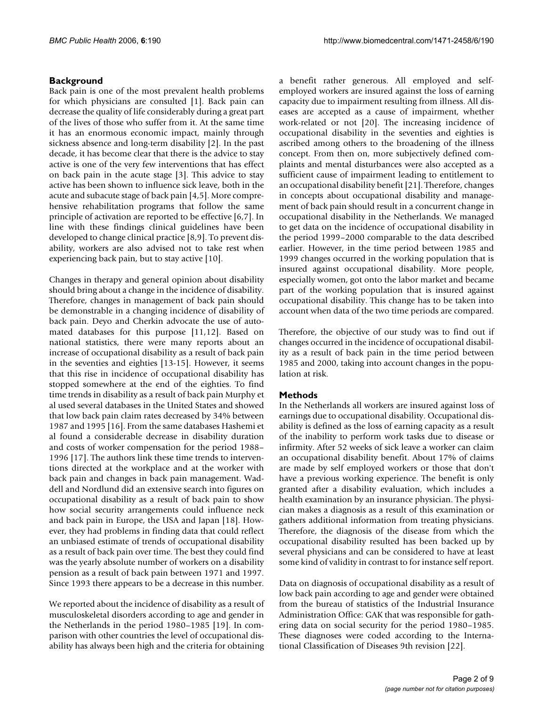## **Background**

Back pain is one of the most prevalent health problems for which physicians are consulted [1]. Back pain can decrease the quality of life considerably during a great part of the lives of those who suffer from it. At the same time it has an enormous economic impact, mainly through sickness absence and long-term disability [2]. In the past decade, it has become clear that there is the advice to stay active is one of the very few interventions that has effect on back pain in the acute stage [3]. This advice to stay active has been shown to influence sick leave, both in the acute and subacute stage of back pain [4,5]. More comprehensive rehabilitation programs that follow the same principle of activation are reported to be effective [6,7]. In line with these findings clinical guidelines have been developed to change clinical practice [8,9]. To prevent disability, workers are also advised not to take rest when experiencing back pain, but to stay active [10].

Changes in therapy and general opinion about disability should bring about a change in the incidence of disability. Therefore, changes in management of back pain should be demonstrable in a changing incidence of disability of back pain. Deyo and Cherkin advocate the use of automated databases for this purpose [11,12]. Based on national statistics, there were many reports about an increase of occupational disability as a result of back pain in the seventies and eighties [13-15]. However, it seems that this rise in incidence of occupational disability has stopped somewhere at the end of the eighties. To find time trends in disability as a result of back pain Murphy et al used several databases in the United States and showed that low back pain claim rates decreased by 34% between 1987 and 1995 [16]. From the same databases Hashemi et al found a considerable decrease in disability duration and costs of worker compensation for the period 1988– 1996 [17]. The authors link these time trends to interventions directed at the workplace and at the worker with back pain and changes in back pain management. Waddell and Nordlund did an extensive search into figures on occupational disability as a result of back pain to show how social security arrangements could influence neck and back pain in Europe, the USA and Japan [18]. However, they had problems in finding data that could reflect an unbiased estimate of trends of occupational disability as a result of back pain over time. The best they could find was the yearly absolute number of workers on a disability pension as a result of back pain between 1971 and 1997. Since 1993 there appears to be a decrease in this number.

We reported about the incidence of disability as a result of musculoskeletal disorders according to age and gender in the Netherlands in the period 1980–1985 [19]. In comparison with other countries the level of occupational disability has always been high and the criteria for obtaining a benefit rather generous. All employed and selfemployed workers are insured against the loss of earning capacity due to impairment resulting from illness. All diseases are accepted as a cause of impairment, whether work-related or not [20]. The increasing incidence of occupational disability in the seventies and eighties is ascribed among others to the broadening of the illness concept. From then on, more subjectively defined complaints and mental disturbances were also accepted as a sufficient cause of impairment leading to entitlement to an occupational disability benefit [21]. Therefore, changes in concepts about occupational disability and management of back pain should result in a concurrent change in occupational disability in the Netherlands. We managed to get data on the incidence of occupational disability in the period 1999–2000 comparable to the data described earlier. However, in the time period between 1985 and 1999 changes occurred in the working population that is insured against occupational disability. More people, especially women, got onto the labor market and became part of the working population that is insured against occupational disability. This change has to be taken into account when data of the two time periods are compared.

Therefore, the objective of our study was to find out if changes occurred in the incidence of occupational disability as a result of back pain in the time period between 1985 and 2000, taking into account changes in the population at risk.

## **Methods**

In the Netherlands all workers are insured against loss of earnings due to occupational disability. Occupational disability is defined as the loss of earning capacity as a result of the inability to perform work tasks due to disease or infirmity. After 52 weeks of sick leave a worker can claim an occupational disability benefit. About 17% of claims are made by self employed workers or those that don't have a previous working experience. The benefit is only granted after a disability evaluation, which includes a health examination by an insurance physician. The physician makes a diagnosis as a result of this examination or gathers additional information from treating physicians. Therefore, the diagnosis of the disease from which the occupational disability resulted has been backed up by several physicians and can be considered to have at least some kind of validity in contrast to for instance self report.

Data on diagnosis of occupational disability as a result of low back pain according to age and gender were obtained from the bureau of statistics of the Industrial Insurance Administration Office: GAK that was responsible for gathering data on social security for the period 1980–1985. These diagnoses were coded according to the International Classification of Diseases 9th revision [22].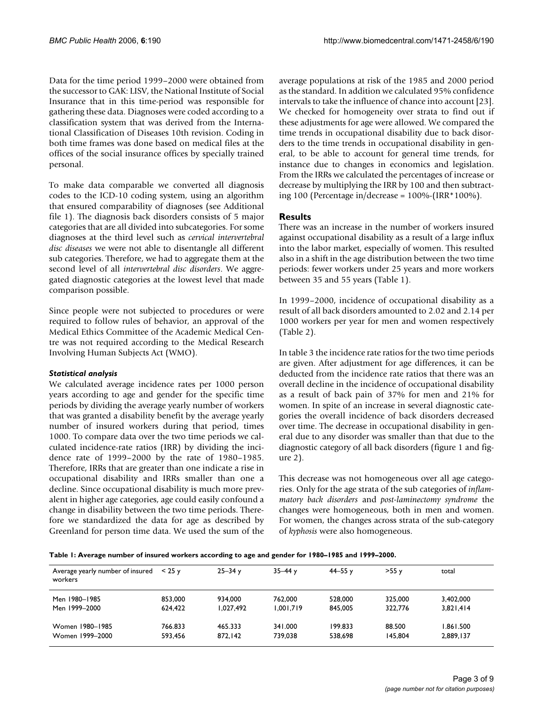Data for the time period 1999–2000 were obtained from the successor to GAK: LISV, the National Institute of Social Insurance that in this time-period was responsible for gathering these data. Diagnoses were coded according to a classification system that was derived from the International Classification of Diseases 10th revision. Coding in both time frames was done based on medical files at the offices of the social insurance offices by specially trained personal.

To make data comparable we converted all diagnosis codes to the ICD-10 coding system, using an algorithm that ensured comparability of diagnoses (see Additional file 1). The diagnosis back disorders consists of 5 major categories that are all divided into subcategories. For some diagnoses at the third level such as *cervical intervertebral disc diseases* we were not able to disentangle all different sub categories. Therefore, we had to aggregate them at the second level of all *intervertebral disc disorders*. We aggregated diagnostic categories at the lowest level that made comparison possible.

Since people were not subjected to procedures or were required to follow rules of behavior, an approval of the Medical Ethics Committee of the Academic Medical Centre was not required according to the Medical Research Involving Human Subjects Act (WMO).

## *Statistical analysis*

We calculated average incidence rates per 1000 person years according to age and gender for the specific time periods by dividing the average yearly number of workers that was granted a disability benefit by the average yearly number of insured workers during that period, times 1000. To compare data over the two time periods we calculated incidence-rate ratios (IRR) by dividing the incidence rate of 1999–2000 by the rate of 1980–1985. Therefore, IRRs that are greater than one indicate a rise in occupational disability and IRRs smaller than one a decline. Since occupational disability is much more prevalent in higher age categories, age could easily confound a change in disability between the two time periods. Therefore we standardized the data for age as described by Greenland for person time data. We used the sum of the average populations at risk of the 1985 and 2000 period as the standard. In addition we calculated 95% confidence intervals to take the influence of chance into account [23]. We checked for homogeneity over strata to find out if these adjustments for age were allowed. We compared the time trends in occupational disability due to back disorders to the time trends in occupational disability in general, to be able to account for general time trends, for instance due to changes in economics and legislation. From the IRRs we calculated the percentages of increase or decrease by multiplying the IRR by 100 and then subtracting 100 (Percentage in/decrease = 100%-(IRR\*100%).

## **Results**

There was an increase in the number of workers insured against occupational disability as a result of a large influx into the labor market, especially of women. This resulted also in a shift in the age distribution between the two time periods: fewer workers under 25 years and more workers between 35 and 55 years (Table 1).

In 1999–2000, incidence of occupational disability as a result of all back disorders amounted to 2.02 and 2.14 per 1000 workers per year for men and women respectively (Table 2).

In table 3 the incidence rate ratios for the two time periods are given. After adjustment for age differences, it can be deducted from the incidence rate ratios that there was an overall decline in the incidence of occupational disability as a result of back pain of 37% for men and 21% for women. In spite of an increase in several diagnostic categories the overall incidence of back disorders decreased over time. The decrease in occupational disability in general due to any disorder was smaller than that due to the diagnostic category of all back disorders (figure 1 and figure 2).

This decrease was not homogeneous over all age categories. Only for the age strata of the sub categories of *inflammatory back disorders* and *post-laminectomy syndrome* the changes were homogeneous, both in men and women. For women, the changes across strata of the sub-category of *kyphosis* were also homogeneous.

**Table 1: Average number of insured workers according to age and gender for 1980–1985 and 1999–2000.**

| Average yearly number of insured<br>workers | < 25v   | $25 - 34y$ | $35 - 44y$ | $44 - 55y$ | $>55$ y | total     |
|---------------------------------------------|---------|------------|------------|------------|---------|-----------|
| Men 1980-1985                               | 853,000 | 934.000    | 762,000    | 528,000    | 325,000 | 3.402.000 |
| Men 1999-2000                               | 624.422 | 1.027.492  | 1.001.719  | 845,005    | 322,776 | 3,821,414 |
| Women 1980-1985                             | 766.833 | 465.333    | 341.000    | 199.833    | 88.500  | 1.861.500 |
| Women 1999-2000                             | 593.456 | 872.142    | 739,038    | 538.698    | 145,804 | 2,889,137 |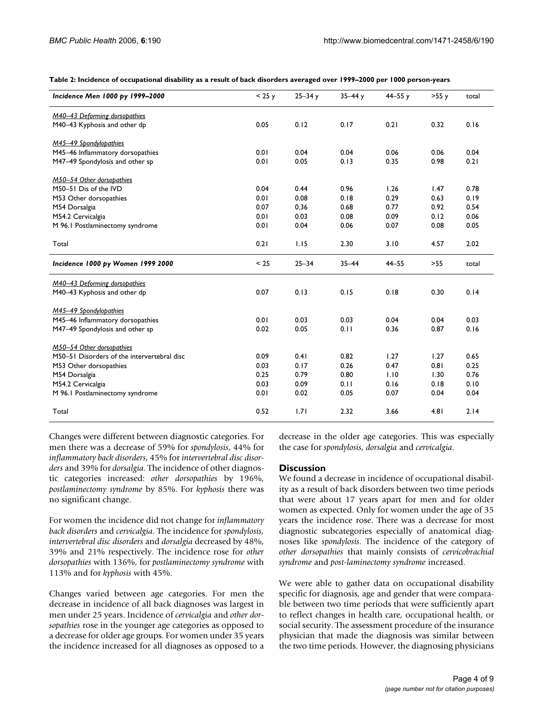**Table 2: Incidence of occupational disability as a result of back disorders averaged over 1999–2000 per 1000 person-years**

| Incidence Men 1000 py 1999-2000             | < 25 y | $25 - 34y$ | $35 - 44y$ | $44 - 55y$ | >55y | total |
|---------------------------------------------|--------|------------|------------|------------|------|-------|
| M40-43 Deforming dorsopathies               |        |            |            |            |      |       |
| M40-43 Kyphosis and other dp                | 0.05   | 0.12       | 0.17       | 0.21       | 0.32 | 0.16  |
| M45-49 Spondylopathies                      |        |            |            |            |      |       |
| M45-46 Inflammatory dorsopathies            | 0.01   | 0.04       | 0.04       | 0.06       | 0.06 | 0.04  |
| M47-49 Spondylosis and other sp             | 0.01   | 0.05       | 0.13       | 0.35       | 0.98 | 0.21  |
| M50-54 Other dorsopathies                   |        |            |            |            |      |       |
| M50-51 Dis of the IVD                       | 0.04   | 0.44       | 0.96       | 1.26       | 1.47 | 0.78  |
| M53 Other dorsopathies                      | 0.01   | 0.08       | 0.18       | 0.29       | 0.63 | 0.19  |
| M54 Dorsalgia                               | 0.07   | 0.36       | 0.68       | 0.77       | 0.92 | 0.54  |
| M54.2 Cervicalgia                           | 0.01   | 0.03       | 0.08       | 0.09       | 0.12 | 0.06  |
| M 96.1 Postlaminectomy syndrome             | 0.01   | 0.04       | 0.06       | 0.07       | 0.08 | 0.05  |
| Total                                       | 0.21   | 1.15       | 2.30       | 3.10       | 4.57 | 2.02  |
| Incidence 1000 py Women 1999 2000           | < 25   | $25 - 34$  | $35 - 44$  | $44 - 55$  | >55  | total |
| M40-43 Deforming dorsopathies               |        |            |            |            |      |       |
| M40-43 Kyphosis and other dp                | 0.07   | 0.13       | 0.15       | 0.18       | 0.30 | 0.14  |
| M45-49 Spondylopathies                      |        |            |            |            |      |       |
| M45-46 Inflammatory dorsopathies            | 0.01   | 0.03       | 0.03       | 0.04       | 0.04 | 0.03  |
| M47-49 Spondylosis and other sp             | 0.02   | 0.05       | 0.11       | 0.36       | 0.87 | 0.16  |
| M50-54 Other dorsobathies                   |        |            |            |            |      |       |
| M50-51 Disorders of the intervertebral disc | 0.09   | 0.41       | 0.82       | 1.27       | 1.27 | 0.65  |
| M53 Other dorsopathies                      | 0.03   | 0.17       | 0.26       | 0.47       | 0.81 | 0.25  |
| M54 Dorsalgia                               | 0.25   | 0.79       | 0.80       | 1.10       | 1.30 | 0.76  |
| M54.2 Cervicalgia                           | 0.03   | 0.09       | 0.11       | 0.16       | 0.18 | 0.10  |
| M 96.1 Postlaminectomy syndrome             | 0.01   | 0.02       | 0.05       | 0.07       | 0.04 | 0.04  |
| Total                                       | 0.52   | 1.71       | 2.32       | 3.66       | 4.81 | 2.14  |

Changes were different between diagnostic categories. For men there was a decrease of 59% for *spondylosis*, 44% for *inflammatory back disorders*, 45% for *intervertebral disc disorders* and 39% for *dorsalgia*. The incidence of other diagnostic categories increased: *other dorsopathies* by 196%, *postlaminectomy syndrome* by 85%. For *kyphosis* there was no significant change.

For women the incidence did not change for *inflammatory back disorders* and *cervicalgia*. The incidence for *spondylosis, intervertebral disc disorders* and *dorsalgia* decreased by 48%, 39% and 21% respectively. The incidence rose for *other dorsopathies* with 136%, for *postlaminectomy syndrome* with 113% and for *kyphosis* with 45%.

Changes varied between age categories. For men the decrease in incidence of all back diagnoses was largest in men under 25 years. Incidence of *cervicalgia* and *other dorsopathies* rose in the younger age categories as opposed to a decrease for older age groups. For women under 35 years the incidence increased for all diagnoses as opposed to a decrease in the older age categories. This was especially the case for *spondylosis*, *dorsalgia* and *cervicalgia*.

## **Discussion**

We found a decrease in incidence of occupational disability as a result of back disorders between two time periods that were about 17 years apart for men and for older women as expected. Only for women under the age of 35 years the incidence rose. There was a decrease for most diagnostic subcategories especially of anatomical diagnoses like *spondylosis*. The incidence of the category of *other dorsopathies* that mainly consists of *cervicobrachial syndrome* and *post-laminectomy syndrome* increased.

We were able to gather data on occupational disability specific for diagnosis, age and gender that were comparable between two time periods that were sufficiently apart to reflect changes in health care, occupational health, or social security. The assessment procedure of the insurance physician that made the diagnosis was similar between the two time periods. However, the diagnosing physicians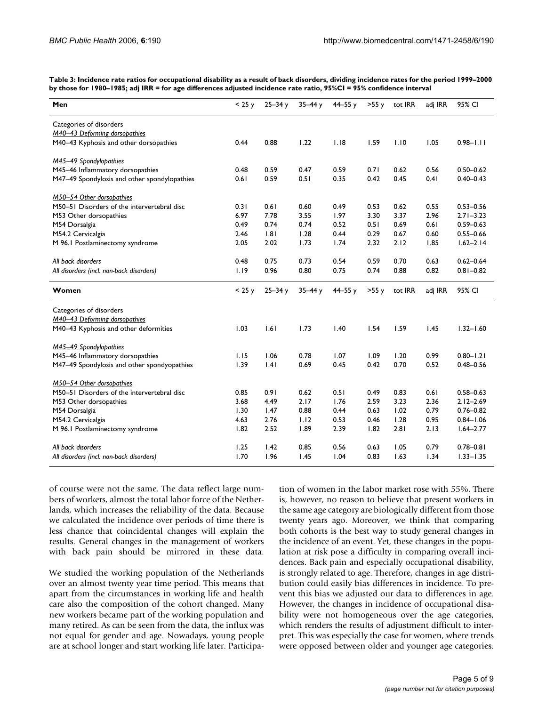**Table 3: Incidence rate ratios for occupational disability as a result of back disorders, dividing incidence rates for the period 1999–2000 by those for 1980–1985; adj IRR = for age differences adjusted incidence rate ratio, 95%CI = 95% confidence interval**

| Men                                                        | < 25 y | $25 - 34y$ | $35 - 44y$ | $44 - 55y$ |      | >55 y tot IRR | adj IRR | 95% CI        |
|------------------------------------------------------------|--------|------------|------------|------------|------|---------------|---------|---------------|
| Categories of disorders                                    |        |            |            |            |      |               |         |               |
| M40-43 Deforming dorsobathies                              |        |            |            |            |      |               |         |               |
| M40-43 Kyphosis and other dorsopathies                     | 0.44   | 0.88       | 1.22       | 1.18       | 1.59 | 1.10          | 1.05    | $0.98 - 1.11$ |
| M45-49 Spondylopathies                                     |        |            |            |            |      |               |         |               |
| M45-46 Inflammatory dorsopathies                           | 0.48   | 0.59       | 0.47       | 0.59       | 0.71 | 0.62          | 0.56    | $0.50 - 0.62$ |
| M47-49 Spondylosis and other spondylopathies               | 0.61   | 0.59       | 0.51       | 0.35       | 0.42 | 0.45          | 0.41    | $0.40 - 0.43$ |
| M50-54 Other dorsopathies                                  |        |            |            |            |      |               |         |               |
| M50-51 Disorders of the intervertebral disc                | 0.31   | 0.61       | 0.60       | 0.49       | 0.53 | 0.62          | 0.55    | $0.53 - 0.56$ |
| M53 Other dorsopathies                                     | 6.97   | 7.78       | 3.55       | 1.97       | 3.30 | 3.37          | 2.96    | $2.71 - 3.23$ |
| M54 Dorsalgia                                              | 0.49   | 0.74       | 0.74       | 0.52       | 0.51 | 0.69          | 0.61    | $0.59 - 0.63$ |
| M54.2 Cervicalgia                                          | 2.46   | 1.81       | 1.28       | 0.44       | 0.29 | 0.67          | 0.60    | $0.55 - 0.66$ |
| M 96.1 Postlaminectomy syndrome                            | 2.05   | 2.02       | 1.73       | 1.74       | 2.32 | 2.12          | 1.85    | $1.62 - 2.14$ |
| All back disorders                                         | 0.48   | 0.75       | 0.73       | 0.54       | 0.59 | 0.70          | 0.63    | $0.62 - 0.64$ |
| All disorders (incl. non-back disorders)                   | 1.19   | 0.96       | 0.80       | 0.75       | 0.74 | 0.88          | 0.82    | $0.81 - 0.82$ |
| Women                                                      | < 25 y | $25 - 34y$ | $35 - 44y$ | $44 - 55y$ | >55y | tot IRR       | adj IRR | 95% CI        |
|                                                            |        |            |            |            |      |               |         |               |
| Categories of disorders                                    |        |            |            |            |      |               |         |               |
| M40-43 Deforming dorsobathies                              |        |            |            |            |      |               |         |               |
| M40-43 Kyphosis and other deformities                      | 1.03   | 1.61       | 1.73       | 1.40       | 1.54 | 1.59          | 1.45    | $1.32 - 1.60$ |
|                                                            |        |            |            |            |      |               |         |               |
| M45-49 Spondylopathies<br>M45-46 Inflammatory dorsopathies | 1.15   | 1.06       | 0.78       | 1.07       | 1.09 | 1.20          | 0.99    | $0.80 - 1.21$ |
| M47-49 Spondylosis and other spondyopathies                | 1.39   | .4         | 0.69       | 0.45       | 0.42 | 0.70          | 0.52    | $0.48 - 0.56$ |
| M50-54 Other dorsopathies                                  |        |            |            |            |      |               |         |               |
| M50-51 Disorders of the intervertebral disc                | 0.85   | 0.91       | 0.62       | 0.51       | 0.49 | 0.83          | 0.61    | $0.58 - 0.63$ |
| M53 Other dorsopathies                                     | 3.68   | 4.49       | 2.17       | 1.76       | 2.59 | 3.23          | 2.36    | $2.12 - 2.69$ |
| M54 Dorsalgia                                              | 1.30   | 1.47       | 0.88       | 0.44       | 0.63 | 1.02          | 0.79    | $0.76 - 0.82$ |
|                                                            | 4.63   | 2.76       | 1.12       | 0.53       | 0.46 | 1.28          | 0.95    | $0.84 - 1.06$ |
| M54.2 Cervicalgia<br>M 96.1 Postlaminectomy syndrome       | 1.82   | 2.52       | 1.89       | 2.39       | 1.82 | 2.81          | 2.13    | $1.64 - 2.77$ |
| All back disorders                                         | 1.25   | 1.42       | 0.85       | 0.56       | 0.63 | 1.05          | 0.79    | $0.78 - 0.81$ |

of course were not the same. The data reflect large numbers of workers, almost the total labor force of the Netherlands, which increases the reliability of the data. Because we calculated the incidence over periods of time there is less chance that coincidental changes will explain the results. General changes in the management of workers with back pain should be mirrored in these data.

We studied the working population of the Netherlands over an almost twenty year time period. This means that apart from the circumstances in working life and health care also the composition of the cohort changed. Many new workers became part of the working population and many retired. As can be seen from the data, the influx was not equal for gender and age. Nowadays, young people are at school longer and start working life later. Participation of women in the labor market rose with 55%. There is, however, no reason to believe that present workers in the same age category are biologically different from those twenty years ago. Moreover, we think that comparing both cohorts is the best way to study general changes in the incidence of an event. Yet, these changes in the population at risk pose a difficulty in comparing overall incidences. Back pain and especially occupational disability, is strongly related to age. Therefore, changes in age distribution could easily bias differences in incidence. To prevent this bias we adjusted our data to differences in age. However, the changes in incidence of occupational disability were not homogeneous over the age categories, which renders the results of adjustment difficult to interpret. This was especially the case for women, where trends were opposed between older and younger age categories.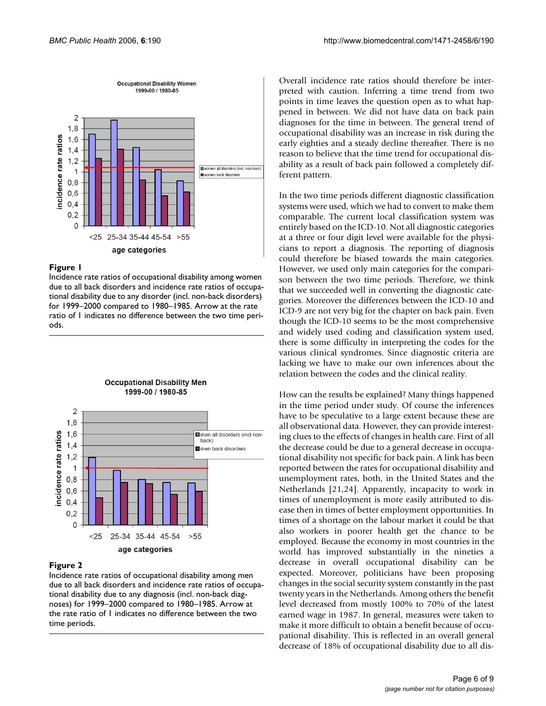

#### **Figure I**

Incidence rate ratios of occupational disability among women due to all back disorders and incidence rate ratios of occupational disability due to any disorder (incl. non-back disorders) for 1999–2000 compared to 1980–1985. Arrow at the rate ratio of 1 indicates no difference between the two time periods.





## Figure 2

Incidence rate ratios of occupational disability among men due to all back disorders and incidence rate ratios of occupational disability due to any diagnosis (incl. non-back diagnoses) for 1999–2000 compared to 1980–1985. Arrow at the rate ratio of 1 indicates no difference between the two time periods.

Overall incidence rate ratios should therefore be interpreted with caution. Inferring a time trend from two points in time leaves the question open as to what happened in between. We did not have data on back pain diagnoses for the time in between. The general trend of occupational disability was an increase in risk during the early eighties and a steady decline thereafter. There is no reason to believe that the time trend for occupational disability as a result of back pain followed a completely different pattern.

In the two time periods different diagnostic classification systems were used, which we had to convert to make them comparable. The current local classification system was entirely based on the ICD-10. Not all diagnostic categories at a three or four digit level were available for the physicians to report a diagnosis. The reporting of diagnosis could therefore be biased towards the main categories. However, we used only main categories for the comparison between the two time periods. Therefore, we think that we succeeded well in converting the diagnostic categories. Moreover the differences between the ICD-10 and ICD-9 are not very big for the chapter on back pain. Even though the ICD-10 seems to be the most comprehensive and widely used coding and classification system used, there is some difficulty in interpreting the codes for the various clinical syndromes. Since diagnostic criteria are lacking we have to make our own inferences about the relation between the codes and the clinical reality.

How can the results be explained? Many things happened in the time period under study. Of course the inferences have to be speculative to a large extent because these are all observational data. However, they can provide interesting clues to the effects of changes in health care. First of all the decrease could be due to a general decrease in occupational disability not specific for back pain. A link has been reported between the rates for occupational disability and unemployment rates, both, in the United States and the Netherlands [21,24]. Apparently, incapacity to work in times of unemployment is more easily attributed to disease then in times of better employment opportunities. In times of a shortage on the labour market it could be that also workers in poorer health get the chance to be employed. Because the economy in most countries in the world has improved substantially in the nineties a decrease in overall occupational disability can be expected. Moreover, politicians have been proposing changes in the social security system constantly in the past twenty years in the Netherlands. Among others the benefit level decreased from mostly 100% to 70% of the latest earned wage in 1987. In general, measures were taken to make it more difficult to obtain a benefit because of occupational disability. This is reflected in an overall general decrease of 18% of occupational disability due to all dis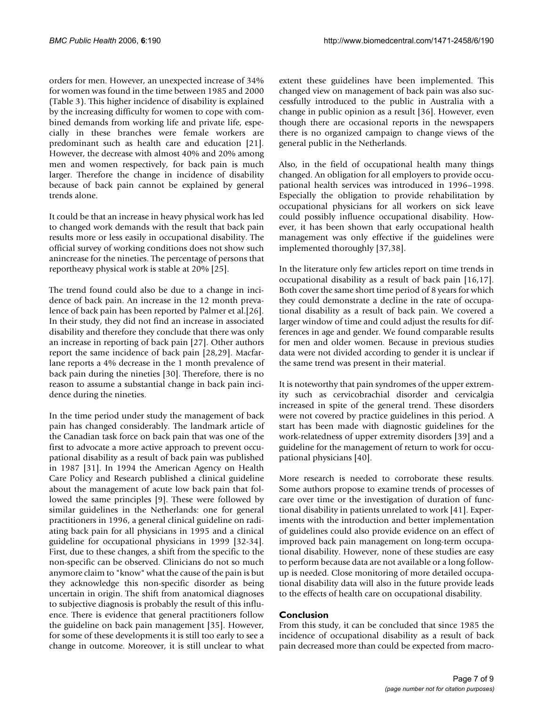orders for men. However, an unexpected increase of 34% for women was found in the time between 1985 and 2000 (Table 3). This higher incidence of disability is explained by the increasing difficulty for women to cope with combined demands from working life and private life, especially in these branches were female workers are predominant such as health care and education [21]. However, the decrease with almost 40% and 20% among men and women respectively, for back pain is much larger. Therefore the change in incidence of disability because of back pain cannot be explained by general trends alone.

It could be that an increase in heavy physical work has led to changed work demands with the result that back pain results more or less easily in occupational disability. The official survey of working conditions does not show such anincrease for the nineties. The percentage of persons that reportheavy physical work is stable at 20% [25].

The trend found could also be due to a change in incidence of back pain. An increase in the 12 month prevalence of back pain has been reported by Palmer et al.[26]. In their study, they did not find an increase in associated disability and therefore they conclude that there was only an increase in reporting of back pain [27]. Other authors report the same incidence of back pain [28,29]. Macfarlane reports a 4% decrease in the 1 month prevalence of back pain during the nineties [30]. Therefore, there is no reason to assume a substantial change in back pain incidence during the nineties.

In the time period under study the management of back pain has changed considerably. The landmark article of the Canadian task force on back pain that was one of the first to advocate a more active approach to prevent occupational disability as a result of back pain was published in 1987 [[31\]](#page-7-0). In 1994 the American Agency on Health Care Policy and Research published a clinical guideline about the management of acute low back pain that followed the same principles [9]. These were followed by similar guidelines in the Netherlands: one for general practitioners in 1996, a general clinical guideline on radiating back pain for all physicians in 1995 and a clinical guideline for occupational physicians in 1999 [32-34]. First, due to these changes, a shift from the specific to the non-specific can be observed. Clinicians do not so much anymore claim to "know" what the cause of the pain is but they acknowledge this non-specific disorder as being uncertain in origin. The shift from anatomical diagnoses to subjective diagnosis is probably the result of this influence. There is evidence that general practitioners follow the guideline on back pain management [35]. However, for some of these developments it is still too early to see a change in outcome. Moreover, it is still unclear to what

extent these guidelines have been implemented. This changed view on management of back pain was also successfully introduced to the public in Australia with a change in public opinion as a result [36]. However, even though there are occasional reports in the newspapers there is no organized campaign to change views of the general public in the Netherlands.

Also, in the field of occupational health many things changed. An obligation for all employers to provide occupational health services was introduced in 1996–1998. Especially the obligation to provide rehabilitation by occupational physicians for all workers on sick leave could possibly influence occupational disability. However, it has been shown that early occupational health management was only effective if the guidelines were implemented thoroughly [37,38].

In the literature only few articles report on time trends in occupational disability as a result of back pain [16,17]. Both cover the same short time period of 8 years for which they could demonstrate a decline in the rate of occupational disability as a result of back pain. We covered a larger window of time and could adjust the results for differences in age and gender. We found comparable results for men and older women. Because in previous studies data were not divided according to gender it is unclear if the same trend was present in their material.

It is noteworthy that pain syndromes of the upper extremity such as cervicobrachial disorder and cervicalgia increased in spite of the general trend. These disorders were not covered by practice guidelines in this period. A start has been made with diagnostic guidelines for the work-relatedness of upper extremity disorders [39] and a guideline for the management of return to work for occupational physicians [40].

More research is needed to corroborate these results. Some authors propose to examine trends of processes of care over time or the investigation of duration of functional disability in patients unrelated to work [41]. Experiments with the introduction and better implementation of guidelines could also provide evidence on an effect of improved back pain management on long-term occupational disability. However, none of these studies are easy to perform because data are not available or a long followup is needed. Close monitoring of more detailed occupational disability data will also in the future provide leads to the effects of health care on occupational disability.

## **Conclusion**

From this study, it can be concluded that since 1985 the incidence of occupational disability as a result of back pain decreased more than could be expected from macro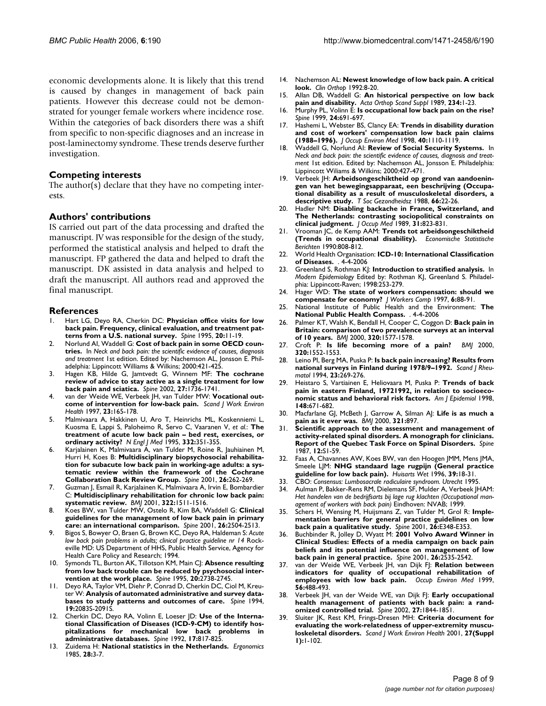economic developments alone. It is likely that this trend is caused by changes in management of back pain patients. However this decrease could not be demonstrated for younger female workers where incidence rose. Within the categories of back disorders there was a shift from specific to non-specific diagnoses and an increase in post-laminectomy syndrome. These trends deserve further investigation.

#### **Competing interests**

The author(s) declare that they have no competing interests.

#### **Authors' contributions**

IS carried out part of the data processing and drafted the manuscript. JV was responsible for the design of the study, performed the statistical analysis and helped to draft the manuscript. FP gathered the data and helped to draft the manuscript. DK assisted in data analysis and helped to draft the manuscript. All authors read and approved the final manuscript.

#### **References**

- 1. Hart LG, Deyo RA, Cherkin DC: **[Physician office visits for low](http://www.ncbi.nlm.nih.gov/entrez/query.fcgi?cmd=Retrieve&db=PubMed&dopt=Abstract&list_uids=7709270) [back pain. Frequency, clinical evaluation, and treatment pat](http://www.ncbi.nlm.nih.gov/entrez/query.fcgi?cmd=Retrieve&db=PubMed&dopt=Abstract&list_uids=7709270)[terns from a U.S. national survey.](http://www.ncbi.nlm.nih.gov/entrez/query.fcgi?cmd=Retrieve&db=PubMed&dopt=Abstract&list_uids=7709270)** *Spine* 1995, **20:**11-19.
- 2. Norlund AI, Waddell G: **Cost of back pain in some OECD countries.** In *Neck and back pain: the scientific evidence of causes, diagnosis and treatment* 1st edition. Edited by: Nachemson AL, Jonsson E. Philadelphia: Lippincott Williams & Wilkins; 2000:421-425.
- 3. Hagen KB, Hilde G, Jamtvedt G, Winnem MF: **[The cochrane](http://www.ncbi.nlm.nih.gov/entrez/query.fcgi?cmd=Retrieve&db=PubMed&dopt=Abstract&list_uids=12195064) [review of advice to stay active as a single treatment for low](http://www.ncbi.nlm.nih.gov/entrez/query.fcgi?cmd=Retrieve&db=PubMed&dopt=Abstract&list_uids=12195064) [back pain and sciatica.](http://www.ncbi.nlm.nih.gov/entrez/query.fcgi?cmd=Retrieve&db=PubMed&dopt=Abstract&list_uids=12195064)** *Spine* 2002, **27:**1736-1741.
- 4. van der Weide WE, Verbeek JH, van Tulder MW: **[Vocational out](http://www.ncbi.nlm.nih.gov/entrez/query.fcgi?cmd=Retrieve&db=PubMed&dopt=Abstract&list_uids=9243726)[come of intervention for low-back pain.](http://www.ncbi.nlm.nih.gov/entrez/query.fcgi?cmd=Retrieve&db=PubMed&dopt=Abstract&list_uids=9243726)** *Scand J Work Environ Health* 1997, **23:**165-178.
- 5. Malmivaara A, Hakkinen U, Aro T, Heinrichs ML, Koskenniemi L, Kuosma E, Lappi S, Paloheimo R, Servo C, Vaaranen V, *et al.*: **[The](http://www.ncbi.nlm.nih.gov/entrez/query.fcgi?cmd=Retrieve&db=PubMed&dopt=Abstract&list_uids=7823996) [treatment of acute low back pain – bed rest, exercises, or](http://www.ncbi.nlm.nih.gov/entrez/query.fcgi?cmd=Retrieve&db=PubMed&dopt=Abstract&list_uids=7823996) [ordinary activity?](http://www.ncbi.nlm.nih.gov/entrez/query.fcgi?cmd=Retrieve&db=PubMed&dopt=Abstract&list_uids=7823996)** *N Engl J Med* 1995, **332:**351-355.
- 6. Karjalainen K, Malmivaara A, van Tulder M, Roine R, Jauhiainen M, Hurri H, Koes B: **[Multidisciplinary biopsychosocial rehabilita](http://www.ncbi.nlm.nih.gov/entrez/query.fcgi?cmd=Retrieve&db=PubMed&dopt=Abstract&list_uids=11224862)[tion for subacute low back pain in working-age adults: a sys](http://www.ncbi.nlm.nih.gov/entrez/query.fcgi?cmd=Retrieve&db=PubMed&dopt=Abstract&list_uids=11224862)tematic review within the framework of the Cochrane [Collaboration Back Review Group.](http://www.ncbi.nlm.nih.gov/entrez/query.fcgi?cmd=Retrieve&db=PubMed&dopt=Abstract&list_uids=11224862)** *Spine* 2001, **26:**262-269.
- 7. Guzman J, Esmail R, Karjalainen K, Malmivaara A, Irvin E, Bombardier C: **[Multidisciplinary rehabilitation for chronic low back pain:](http://www.ncbi.nlm.nih.gov/entrez/query.fcgi?cmd=Retrieve&db=PubMed&dopt=Abstract&list_uids=11420271) [systematic review.](http://www.ncbi.nlm.nih.gov/entrez/query.fcgi?cmd=Retrieve&db=PubMed&dopt=Abstract&list_uids=11420271)** *BMJ* 2001, **322:**1511-1516.
- 8. Koes BW, van Tulder MW, Ostelo R, Kim BA, Waddell G: **[Clinical](http://www.ncbi.nlm.nih.gov/entrez/query.fcgi?cmd=Retrieve&db=PubMed&dopt=Abstract&list_uids=11707719) [guidelines for the management of low back pain in primary](http://www.ncbi.nlm.nih.gov/entrez/query.fcgi?cmd=Retrieve&db=PubMed&dopt=Abstract&list_uids=11707719) [care: an international comparison.](http://www.ncbi.nlm.nih.gov/entrez/query.fcgi?cmd=Retrieve&db=PubMed&dopt=Abstract&list_uids=11707719)** *Spine* 2001, **26:**2504-2513.
- 9. Bigos S, Bowyer O, Braen G, Brown KC, Deyo RA, Haldeman S: *Acute low back pain problems in adults; clinical practice guideline nr 14* Rockeville MD: US Department of HHS, Public Health Service, Agency for Health Care Policy and Research; 1994.
- 10. Symonds TL, Burton AK, Tillotson KM, Main CJ: **[Absence resulting](http://www.ncbi.nlm.nih.gov/entrez/query.fcgi?cmd=Retrieve&db=PubMed&dopt=Abstract&list_uids=8747253) [from low back trouble can be reduced by psychosocial inter](http://www.ncbi.nlm.nih.gov/entrez/query.fcgi?cmd=Retrieve&db=PubMed&dopt=Abstract&list_uids=8747253)[vention at the work place.](http://www.ncbi.nlm.nih.gov/entrez/query.fcgi?cmd=Retrieve&db=PubMed&dopt=Abstract&list_uids=8747253)** *Spine* 1995, **20:**2738-2745.
- 11. Deyo RA, Taylor VM, Diehr P, Conrad D, Cherkin DC, Ciol M, Kreuter W: **[Analysis of automated administrative and survey data](http://www.ncbi.nlm.nih.gov/entrez/query.fcgi?cmd=Retrieve&db=PubMed&dopt=Abstract&list_uids=7801187)[bases to study patterns and outcomes of care.](http://www.ncbi.nlm.nih.gov/entrez/query.fcgi?cmd=Retrieve&db=PubMed&dopt=Abstract&list_uids=7801187)** *Spine* 1994, **19:**2083S-2091S.
- 12. Cherkin DC, Deyo RA, Volinn E, Loeser JD: **[Use of the Interna](http://www.ncbi.nlm.nih.gov/entrez/query.fcgi?cmd=Retrieve&db=PubMed&dopt=Abstract&list_uids=1386943)[tional Classification of Diseases \(ICD-9-CM\) to identify hos](http://www.ncbi.nlm.nih.gov/entrez/query.fcgi?cmd=Retrieve&db=PubMed&dopt=Abstract&list_uids=1386943)pitalizations for mechanical low back problems in [administrative databases.](http://www.ncbi.nlm.nih.gov/entrez/query.fcgi?cmd=Retrieve&db=PubMed&dopt=Abstract&list_uids=1386943)** *Spine* 1992, **17:**817-825.
- 13. Zuidema H: **[National statistics in the Netherlands.](http://www.ncbi.nlm.nih.gov/entrez/query.fcgi?cmd=Retrieve&db=PubMed&dopt=Abstract&list_uids=3158514)** *Ergonomics* 1985, **28:**3-7.
- 14. Nachemson AL: **[Newest knowledge of low back pain. A critical](http://www.ncbi.nlm.nih.gov/entrez/query.fcgi?cmd=Retrieve&db=PubMed&dopt=Abstract&list_uids=1534725) [look.](http://www.ncbi.nlm.nih.gov/entrez/query.fcgi?cmd=Retrieve&db=PubMed&dopt=Abstract&list_uids=1534725)** *Clin Orthop* 1992:8-20.
- 15. Allan DB, Waddell G: **[An historical perspective on low back](http://www.ncbi.nlm.nih.gov/entrez/query.fcgi?cmd=Retrieve&db=PubMed&dopt=Abstract&list_uids=2533783) [pain and disability.](http://www.ncbi.nlm.nih.gov/entrez/query.fcgi?cmd=Retrieve&db=PubMed&dopt=Abstract&list_uids=2533783)** *Acta Orthop Scand Suppl* 1989, **234:**1-23.
- 16. Murphy PL, Volinn E: **[Is occupational low back pain on the rise?](http://www.ncbi.nlm.nih.gov/entrez/query.fcgi?cmd=Retrieve&db=PubMed&dopt=Abstract&list_uids=10209800)** *Spine* 1999, **24:**691-697.
- 17. Hashemi L, Webster BS, Clancy EA: **[Trends in disability duration](http://www.ncbi.nlm.nih.gov/entrez/query.fcgi?cmd=Retrieve&db=PubMed&dopt=Abstract&list_uids=9871888) [and cost of workers' compensation low back pain claims](http://www.ncbi.nlm.nih.gov/entrez/query.fcgi?cmd=Retrieve&db=PubMed&dopt=Abstract&list_uids=9871888) [\(1988–1996\).](http://www.ncbi.nlm.nih.gov/entrez/query.fcgi?cmd=Retrieve&db=PubMed&dopt=Abstract&list_uids=9871888)** *J Occup Environ Med* 1998, **40:**1110-1119.
- 18. Waddell G, Norlund AI: **Review of Social Security Systems.** In *Neck and back pain: the scientific evidence of causes, diagnosis and treatment* 1st edition. Edited by: Nachemson AL, Jonsson E. Philadelphia: Lippincott Wiliams & Wilkins; 2000:427-471.
- 19. Verbeek JH: **Arbeidsongeschiktheid op grond van aandoeningen van het bewegingsapparaat, een beschrijving (Occupational disability as a result of musculoskeletal disorders, a descriptive study.** *T Soc Gezondheidsz* 1988, **66:**22-26.
- 20. Hadler NM: **[Disabling backache in France, Switzerland, and](http://www.ncbi.nlm.nih.gov/entrez/query.fcgi?cmd=Retrieve&db=PubMed&dopt=Abstract&list_uids=2532680) [The Netherlands: contrasting sociopolitical constraints on](http://www.ncbi.nlm.nih.gov/entrez/query.fcgi?cmd=Retrieve&db=PubMed&dopt=Abstract&list_uids=2532680) [clinical judgment.](http://www.ncbi.nlm.nih.gov/entrez/query.fcgi?cmd=Retrieve&db=PubMed&dopt=Abstract&list_uids=2532680)** *J Occup Med* 1989, **31:**823-831.
- 21. Vrooman JC, de Kemp AAM: **Trends tot arbeidsongeschiktheid (Trends in occupational disability).** *Economische Statistische Berichten* 1990:808-812.
- 22. World Health Organisation: **ICD-10: International Classification of Diseases.** . 4-4-2006
- 23. Greenland S, Rothman KJ: **Introduction to stratified analysis.** In *Modern Epidemiology* Edited by: Rothman KJ, Greenland S. Philadelphia: Lippincott-Raven; 1998:253-279.
- 24. Hager WD: **The state of workers compensation: should we compensate for economy?** *J Workers Comp* 1997, **6:**88-91.
- 25. National Institute of Public Health and the Environment: **The National Public Health Compass.** . 4-4-2006
- 26. Palmer KT, Walsh K, Bendall H, Cooper C, Coggon D: **[Back pain in](http://www.ncbi.nlm.nih.gov/entrez/query.fcgi?cmd=Retrieve&db=PubMed&dopt=Abstract&list_uids=10845966) [Britain: comparison of two prevalence surveys at an interval](http://www.ncbi.nlm.nih.gov/entrez/query.fcgi?cmd=Retrieve&db=PubMed&dopt=Abstract&list_uids=10845966) [of 10 years.](http://www.ncbi.nlm.nih.gov/entrez/query.fcgi?cmd=Retrieve&db=PubMed&dopt=Abstract&list_uids=10845966)** *BMJ* 2000, **320:**1577-1578.
- 27. Croft P: **[Is life becoming more of a pain?](http://www.ncbi.nlm.nih.gov/entrez/query.fcgi?cmd=Retrieve&db=PubMed&dopt=Abstract&list_uids=10845945)** *BMJ* 2000, **320:**1552-1553.
- 28. Leino PI, Berg MA, Puska P: **[Is back pain increasing? Results from](http://www.ncbi.nlm.nih.gov/entrez/query.fcgi?cmd=Retrieve&db=PubMed&dopt=Abstract&list_uids=7973482) [national surveys in Finland during 1978/9–1992.](http://www.ncbi.nlm.nih.gov/entrez/query.fcgi?cmd=Retrieve&db=PubMed&dopt=Abstract&list_uids=7973482)** *Scand J Rheumatol* 1994, **23:**269-276.
- 29. Heistaro S, Vartiainen E, Heliovaara M, Puska P: **[Trends of back](http://www.ncbi.nlm.nih.gov/entrez/query.fcgi?cmd=Retrieve&db=PubMed&dopt=Abstract&list_uids=9778174) [pain in eastern Finland, 19721992, in relation to socioeco](http://www.ncbi.nlm.nih.gov/entrez/query.fcgi?cmd=Retrieve&db=PubMed&dopt=Abstract&list_uids=9778174)[nomic status and behavioral risk factors.](http://www.ncbi.nlm.nih.gov/entrez/query.fcgi?cmd=Retrieve&db=PubMed&dopt=Abstract&list_uids=9778174)** *Am J Epidemiol* 1998, **148:**671-682.
- 30. Macfarlane GJ, McBeth J, Garrow A, Silman AJ: **[Life is as much a](http://www.ncbi.nlm.nih.gov/entrez/query.fcgi?cmd=Retrieve&db=PubMed&dopt=Abstract&list_uids=11021885) [pain as it ever was.](http://www.ncbi.nlm.nih.gov/entrez/query.fcgi?cmd=Retrieve&db=PubMed&dopt=Abstract&list_uids=11021885)** *BMJ* 2000, **321:**897.
- <span id="page-7-0"></span>31. **[Scientific approach to the assessment and management of](http://www.ncbi.nlm.nih.gov/entrez/query.fcgi?cmd=Retrieve&db=PubMed&dopt=Abstract&list_uids=2961086) [activity-related spinal disorders. A monograph for clinicians.](http://www.ncbi.nlm.nih.gov/entrez/query.fcgi?cmd=Retrieve&db=PubMed&dopt=Abstract&list_uids=2961086) [Report of the Quebec Task Force on Spinal Disorders.](http://www.ncbi.nlm.nih.gov/entrez/query.fcgi?cmd=Retrieve&db=PubMed&dopt=Abstract&list_uids=2961086)** *Spine* 1987, **12:**S1-59.
- 32. Faas A, Chavannes AW, Koes BW, van den Hoogen JMM, Mens JMA, Smeele LJM: **NHG standaard lage rugpijn (General practice guideline for low back pain).** *Huisarts Wet* 1996, **39:**18-31.
- 33. CBO: *Consensus: Lumbosacrale radiculaire syndroom. Utrecht* 1995.
- Aulman P, Bakker-Rens RM, Dielemans SF, Mulder A, Verbeek JHAM: *Het handelen van de bedrijfsarts bij lage rug klachten (Occupational management of workers with back pain)* Eindhoven: NVAB; 1999.
- 35. Schers H, Wensing M, Huijsmans Z, van Tulder M, Grol R: **[Imple](http://www.ncbi.nlm.nih.gov/entrez/query.fcgi?cmd=Retrieve&db=PubMed&dopt=Abstract&list_uids=11474367)[mentation barriers for general practice guidelines on low](http://www.ncbi.nlm.nih.gov/entrez/query.fcgi?cmd=Retrieve&db=PubMed&dopt=Abstract&list_uids=11474367) [back pain a qualitative study.](http://www.ncbi.nlm.nih.gov/entrez/query.fcgi?cmd=Retrieve&db=PubMed&dopt=Abstract&list_uids=11474367)** *Spine* 2001, **26:**E348-E353.
- 36. Buchbinder R, Jolley D, Wyatt M: **[2001 Volvo Award Winner in](http://www.ncbi.nlm.nih.gov/entrez/query.fcgi?cmd=Retrieve&db=PubMed&dopt=Abstract&list_uids=11725233) [Clinical Studies: Effects of a media campaign on back pain](http://www.ncbi.nlm.nih.gov/entrez/query.fcgi?cmd=Retrieve&db=PubMed&dopt=Abstract&list_uids=11725233) beliefs and its potential influence on management of low [back pain in general practice.](http://www.ncbi.nlm.nih.gov/entrez/query.fcgi?cmd=Retrieve&db=PubMed&dopt=Abstract&list_uids=11725233)** *Spine* 2001, **26:**2535-2542.
- 37. van der Weide WE, Verbeek JH, van Dijk FJ: **[Relation between](http://www.ncbi.nlm.nih.gov/entrez/query.fcgi?cmd=Retrieve&db=PubMed&dopt=Abstract&list_uids=10472321) [indicators for quality of occupational rehabilitation of](http://www.ncbi.nlm.nih.gov/entrez/query.fcgi?cmd=Retrieve&db=PubMed&dopt=Abstract&list_uids=10472321) [employees with low back pain.](http://www.ncbi.nlm.nih.gov/entrez/query.fcgi?cmd=Retrieve&db=PubMed&dopt=Abstract&list_uids=10472321)** *Occup Environ Med* 1999, **56:**488-493.
- 38. Verbeek JH, van der Weide WE, van Dijk FJ: [Early occupational](http://www.ncbi.nlm.nih.gov/entrez/query.fcgi?cmd=Retrieve&db=PubMed&dopt=Abstract&list_uids=12221346) **[health management of patients with back pain: a rand](http://www.ncbi.nlm.nih.gov/entrez/query.fcgi?cmd=Retrieve&db=PubMed&dopt=Abstract&list_uids=12221346)[omized controlled trial.](http://www.ncbi.nlm.nih.gov/entrez/query.fcgi?cmd=Retrieve&db=PubMed&dopt=Abstract&list_uids=12221346)** *Spine* 2002, **27:**1844-1851.
- 39. Sluiter JK, Rest KM, Frings-Dresen MH: **[Criteria document for](http://www.ncbi.nlm.nih.gov/entrez/query.fcgi?cmd=Retrieve&db=PubMed&dopt=Abstract&list_uids=11401243) [evaluating the work-relatedness of upper-extremity muscu](http://www.ncbi.nlm.nih.gov/entrez/query.fcgi?cmd=Retrieve&db=PubMed&dopt=Abstract&list_uids=11401243)[loskeletal disorders.](http://www.ncbi.nlm.nih.gov/entrez/query.fcgi?cmd=Retrieve&db=PubMed&dopt=Abstract&list_uids=11401243)** *Scand J Work Environ Health* 2001, **27(Suppl 1):**1-102.